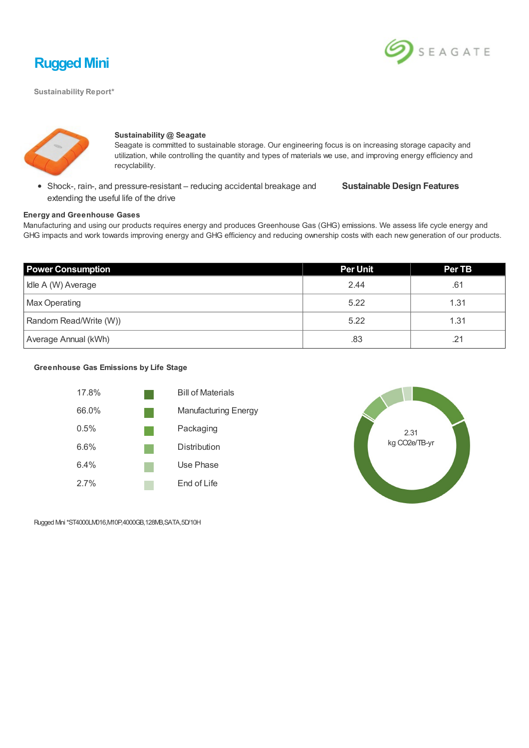

SEAGATE

**Sustainability Report\***



### **Sustainability @ Seagate**

Seagate is committed to sustainable storage. Our engineering focus is on increasing storage capacity and utilization, while controlling the quantity and types of materials we use, and improving energy efficiency and recyclability.

Shock-, rain-, and pressure-resistant – reducing accidental breakage and extending the useful life of the drive

**Sustainable Design Features**

#### **Energy and Greenhouse Gases**

Manufacturing and using our products requires energy and produces Greenhouse Gas (GHG) emissions. We assess life cycle energy and GHG impacts and work towards improving energy and GHG efficiency and reducing ownership costs with each new generation of our products.

| <b>Power Consumption</b> | <b>Per Unit</b> | <b>Per TB</b> |
|--------------------------|-----------------|---------------|
| Idle A (W) Average       | 2.44            | .61           |
| <b>Max Operating</b>     | 5.22            | 1.31          |
| Random Read/Write (W))   | 5.22            | 1.31          |
| Average Annual (kWh)     | .83             | .21           |

### **Greenhouse Gas Emissions by Life Stage**





Rugged Mini\*ST4000LM016,M10P,4000GB,128MB,SATA,5D/10H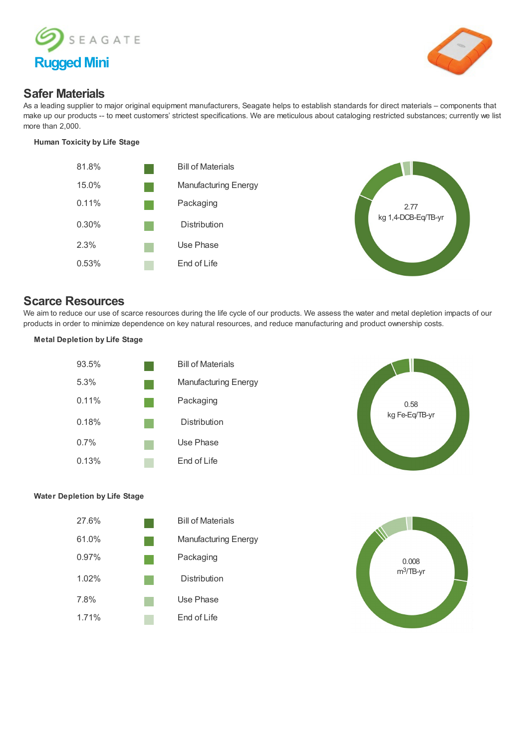



## **Safer Materials**

As a leading supplier to major original equipment manufacturers, Seagate helps to establish standards for direct materials – components that make up our products -- to meet customers' strictest specifications. We are meticulous about cataloging restricted substances; currently we list more than 2,000.

### **Human Toxicity by Life Stage**





## **Scarce Resources**

We aim to reduce our use of scarce resources during the life cycle of our products. We assess the water and metal depletion impacts of our products in order to minimize dependence on key natural resources, and reduce manufacturing and product ownership costs.

### **Metal Depletion by Life Stage**





### **Water Depletion by Life Stage**